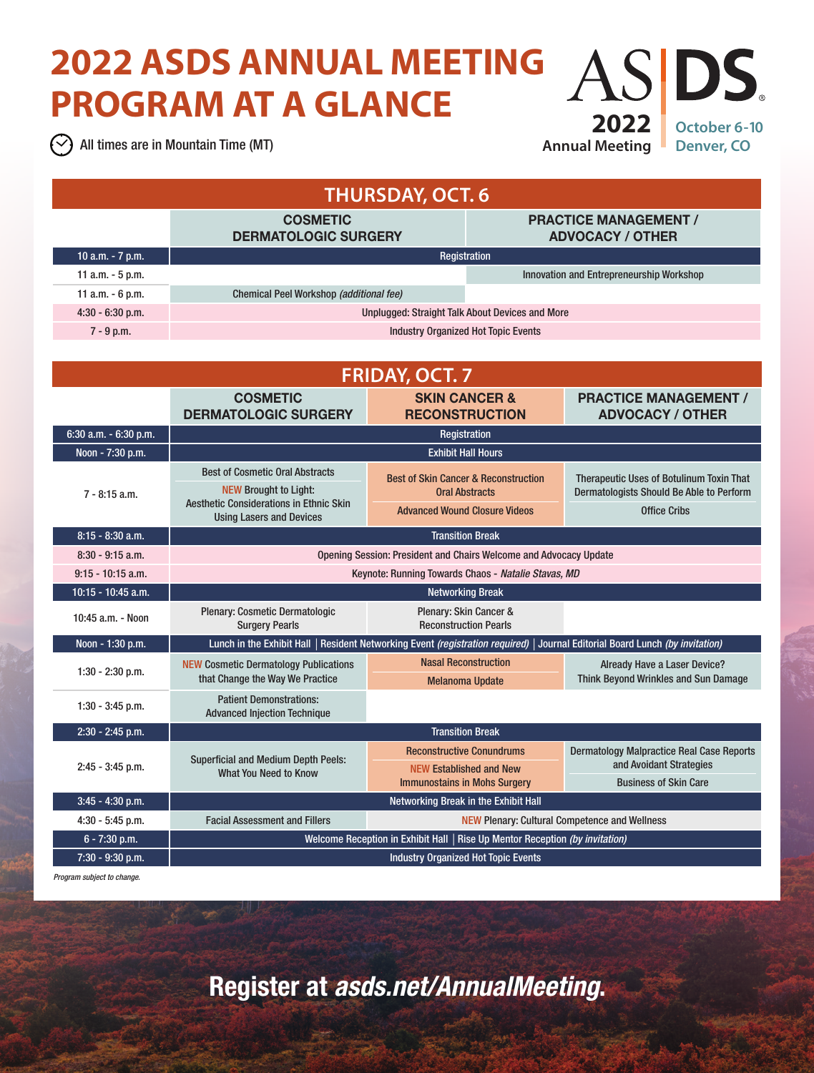## **2022 ASDS ANNUAL MEETING**  AS DS. **PROGRAM AT A GLANCE 2022**

All times are in Mountain Time (MT)

**Annual Meeting**

**October 6-10 Denver, CO**

| <b>THURSDAY, OCT. 6</b> |                                                                                                                               |                                                               |                                                                                                           |                                                                                                             |  |  |
|-------------------------|-------------------------------------------------------------------------------------------------------------------------------|---------------------------------------------------------------|-----------------------------------------------------------------------------------------------------------|-------------------------------------------------------------------------------------------------------------|--|--|
|                         | <b>COSMETIC</b><br><b>DERMATOLOGIC SURGERY</b>                                                                                |                                                               | <b>PRACTICE MANAGEMENT /</b><br><b>ADVOCACY / OTHER</b>                                                   |                                                                                                             |  |  |
| 10 a.m. - 7 p.m.        | Registration                                                                                                                  |                                                               |                                                                                                           |                                                                                                             |  |  |
| 11 a.m. - 5 p.m.        |                                                                                                                               |                                                               | Innovation and Entrepreneurship Workshop                                                                  |                                                                                                             |  |  |
| 11 a.m. - 6 p.m.        | Chemical Peel Workshop (additional fee)                                                                                       |                                                               |                                                                                                           |                                                                                                             |  |  |
| 4:30 - 6:30 p.m.        | <b>Unplugged: Straight Talk About Devices and More</b>                                                                        |                                                               |                                                                                                           |                                                                                                             |  |  |
| $7 - 9$ p.m.            |                                                                                                                               | <b>Industry Organized Hot Topic Events</b>                    |                                                                                                           |                                                                                                             |  |  |
|                         |                                                                                                                               |                                                               |                                                                                                           |                                                                                                             |  |  |
| <b>FRIDAY, OCT. 7</b>   |                                                                                                                               |                                                               |                                                                                                           |                                                                                                             |  |  |
|                         | <b>COSMETIC</b><br><b>DERMATOLOGIC SURGERY</b>                                                                                | <b>SKIN CANCER &amp;</b><br><b>RECONSTRUCTION</b>             |                                                                                                           | <b>PRACTICE MANAGEMENT /</b><br><b>ADVOCACY / OTHER</b>                                                     |  |  |
| 6:30 a.m. - 6:30 p.m.   | Registration                                                                                                                  |                                                               |                                                                                                           |                                                                                                             |  |  |
| Noon - 7:30 p.m.        | <b>Exhibit Hall Hours</b>                                                                                                     |                                                               |                                                                                                           |                                                                                                             |  |  |
|                         | <b>Best of Cosmetic Oral Abstracts</b>                                                                                        |                                                               | <b>Best of Skin Cancer &amp; Reconstruction</b>                                                           | <b>Therapeutic Uses of Botulinum Toxin That</b>                                                             |  |  |
| $7 - 8:15$ a.m.         | <b>NEW Brought to Light:</b><br><b>Aesthetic Considerations in Ethnic Skin</b><br><b>Using Lasers and Devices</b>             | <b>Oral Abstracts</b><br><b>Advanced Wound Closure Videos</b> | Dermatologists Should Be Able to Perform<br><b>Office Cribs</b>                                           |                                                                                                             |  |  |
| 8:15 - 8:30 a.m.        | <b>Transition Break</b>                                                                                                       |                                                               |                                                                                                           |                                                                                                             |  |  |
| $8:30 - 9:15$ a.m.      | Opening Session: President and Chairs Welcome and Advocacy Update                                                             |                                                               |                                                                                                           |                                                                                                             |  |  |
| $9:15 - 10:15$ a.m.     | Keynote: Running Towards Chaos - Natalie Stavas, MD                                                                           |                                                               |                                                                                                           |                                                                                                             |  |  |
| 10:15 - 10:45 a.m.      | <b>Networking Break</b>                                                                                                       |                                                               |                                                                                                           |                                                                                                             |  |  |
| 10:45 a.m. - Noon       | Plenary: Cosmetic Dermatologic<br><b>Surgery Pearls</b>                                                                       | Plenary: Skin Cancer &<br><b>Reconstruction Pearls</b>        |                                                                                                           |                                                                                                             |  |  |
| Noon - 1:30 p.m.        | Lunch in the Exhibit Hall   Resident Networking Event (registration required)   Journal Editorial Board Lunch (by invitation) |                                                               |                                                                                                           |                                                                                                             |  |  |
| $1:30 - 2:30$ p.m.      | <b>NEW Cosmetic Dermatology Publications</b><br>that Change the Way We Practice                                               | <b>Nasal Reconstruction</b>                                   | <b>Melanoma Update</b>                                                                                    | Already Have a Laser Device?<br><b>Think Beyond Wrinkles and Sun Damage</b>                                 |  |  |
| $1:30 - 3:45$ p.m.      | <b>Patient Demonstrations:</b><br><b>Advanced Injection Technique</b>                                                         |                                                               |                                                                                                           |                                                                                                             |  |  |
| 2:30 - 2:45 p.m.        |                                                                                                                               |                                                               | <b>Transition Break</b>                                                                                   |                                                                                                             |  |  |
| $2:45 - 3:45$ p.m.      | <b>Superficial and Medium Depth Peels:</b><br><b>What You Need to Know</b>                                                    |                                                               | <b>Reconstructive Conundrums</b><br><b>NEW Established and New</b><br><b>Immunostains in Mohs Surgery</b> | <b>Dermatology Malpractice Real Case Reports</b><br>and Avoidant Strategies<br><b>Business of Skin Care</b> |  |  |
| 3:45 - 4:30 p.m.        | Networking Break in the Exhibit Hall                                                                                          |                                                               |                                                                                                           |                                                                                                             |  |  |
| $4:30 - 5:45$ p.m.      | <b>Facial Assessment and Fillers</b>                                                                                          | <b>NEW Plenary: Cultural Competence and Wellness</b>          |                                                                                                           |                                                                                                             |  |  |
| 6 - 7:30 p.m.           | Welcome Reception in Exhibit Hall   Rise Up Mentor Reception (by invitation)                                                  |                                                               |                                                                                                           |                                                                                                             |  |  |
| 7:30 - 9:30 p.m.        | <b>Industry Organized Hot Topic Events</b>                                                                                    |                                                               |                                                                                                           |                                                                                                             |  |  |

*Program subject to change.*

Register at *asds.net/AnnualMeeting*.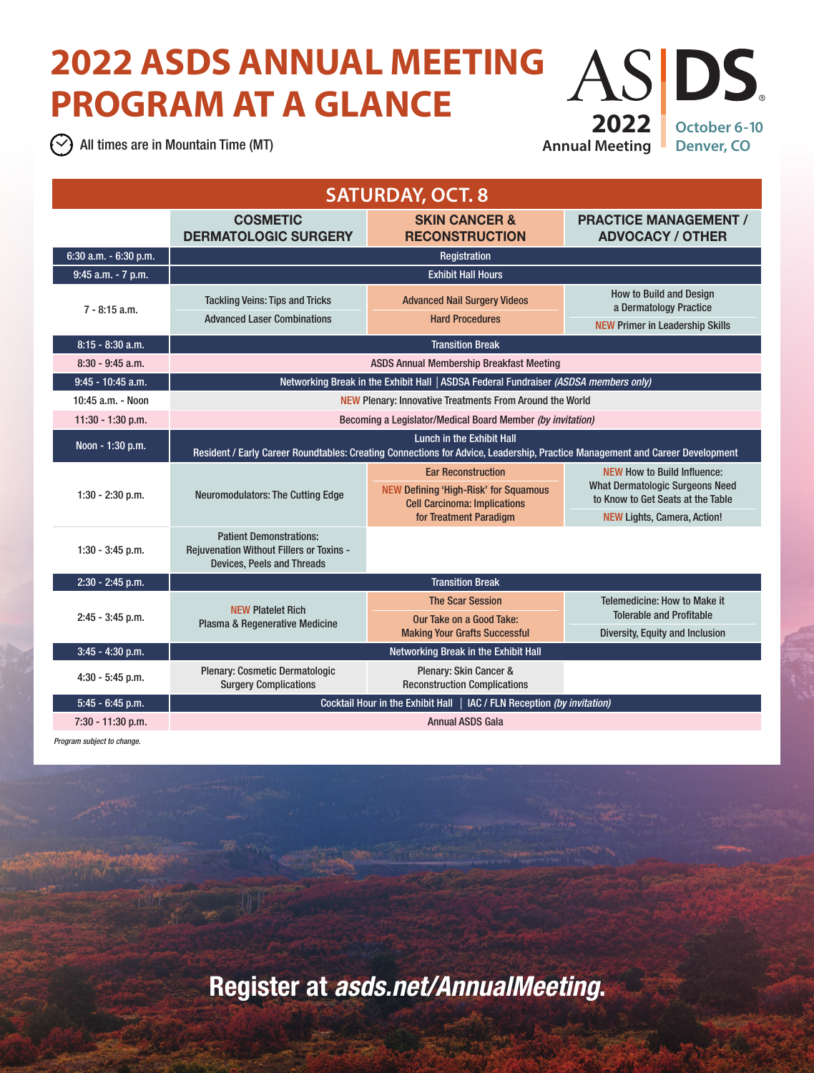## **2022 ASDS ANNUAL MEETING**  AS DS. **PROGRAM AT A GLANCE 2022**

 $\Diamond$  All times are in Mountain Time (MT)

**Annual Meeting**

**October 6-10 Denver, CO**

| <b>SATURDAY, OCT. 8</b> |                                                                                                                                                           |                                                                                                                                            |                                                                                                                                                  |  |  |
|-------------------------|-----------------------------------------------------------------------------------------------------------------------------------------------------------|--------------------------------------------------------------------------------------------------------------------------------------------|--------------------------------------------------------------------------------------------------------------------------------------------------|--|--|
|                         | <b>COSMETIC</b><br><b>DERMATOLOGIC SURGERY</b>                                                                                                            | <b>SKIN CANCER &amp;</b><br><b>RECONSTRUCTION</b>                                                                                          | <b>PRACTICE MANAGEMENT /</b><br><b>ADVOCACY / OTHER</b>                                                                                          |  |  |
| 6:30 a.m. - 6:30 p.m.   | Registration                                                                                                                                              |                                                                                                                                            |                                                                                                                                                  |  |  |
| 9:45 a.m. - 7 p.m.      | <b>Exhibit Hall Hours</b>                                                                                                                                 |                                                                                                                                            |                                                                                                                                                  |  |  |
| $7 - 8:15$ a.m.         | <b>Tackling Veins: Tips and Tricks</b><br><b>Advanced Laser Combinations</b>                                                                              | <b>Advanced Nail Surgery Videos</b><br><b>Hard Procedures</b>                                                                              | <b>How to Build and Design</b><br>a Dermatology Practice<br><b>NEW Primer in Leadership Skills</b>                                               |  |  |
| $8:15 - 8:30$ a.m.      | <b>Transition Break</b>                                                                                                                                   |                                                                                                                                            |                                                                                                                                                  |  |  |
| $8:30 - 9:45$ a.m.      | <b>ASDS Annual Membership Breakfast Meeting</b>                                                                                                           |                                                                                                                                            |                                                                                                                                                  |  |  |
| $9:45 - 10:45$ a.m.     | Networking Break in the Exhibit Hall   ASDSA Federal Fundraiser (ASDSA members only)                                                                      |                                                                                                                                            |                                                                                                                                                  |  |  |
| 10:45 a.m. - Noon       | NEW Plenary: Innovative Treatments From Around the World                                                                                                  |                                                                                                                                            |                                                                                                                                                  |  |  |
| 11:30 - 1:30 p.m.       | Becoming a Legislator/Medical Board Member (by invitation)                                                                                                |                                                                                                                                            |                                                                                                                                                  |  |  |
| Noon - 1:30 p.m.        | Lunch in the Exhibit Hall<br>Resident / Early Career Roundtables: Creating Connections for Advice, Leadership, Practice Management and Career Development |                                                                                                                                            |                                                                                                                                                  |  |  |
| $1:30 - 2:30$ p.m.      | <b>Neuromodulators: The Cutting Edge</b>                                                                                                                  | <b>Ear Reconstruction</b><br><b>NEW Defining 'High-Risk' for Squamous</b><br><b>Cell Carcinoma: Implications</b><br>for Treatment Paradigm | <b>NEW How to Build Influence:</b><br><b>What Dermatologic Surgeons Need</b><br>to Know to Get Seats at the Table<br>NEW Lights, Camera, Action! |  |  |
| $1:30 - 3:45$ p.m.      | <b>Patient Demonstrations:</b><br><b>Rejuvenation Without Fillers or Toxins -</b><br><b>Devices. Peels and Threads</b>                                    |                                                                                                                                            |                                                                                                                                                  |  |  |
| 2:30 - 2:45 p.m.        | <b>Transition Break</b>                                                                                                                                   |                                                                                                                                            |                                                                                                                                                  |  |  |
| $2:45 - 3:45$ p.m.      | <b>NEW Platelet Rich</b><br>Plasma & Regenerative Medicine                                                                                                | <b>The Scar Session</b><br>Our Take on a Good Take:<br><b>Making Your Grafts Successful</b>                                                | <b>Telemedicine: How to Make it</b><br><b>Tolerable and Profitable</b><br>Diversity, Equity and Inclusion                                        |  |  |
| $3:45 - 4:30$ p.m.      | Networking Break in the Exhibit Hall                                                                                                                      |                                                                                                                                            |                                                                                                                                                  |  |  |
| $4:30 - 5:45$ p.m.      | Plenary: Cosmetic Dermatologic<br><b>Surgery Complications</b>                                                                                            | Plenary: Skin Cancer &<br><b>Reconstruction Complications</b>                                                                              |                                                                                                                                                  |  |  |
| $5:45 - 6:45$ p.m.      | Cocktail Hour in the Exhibit Hall  <br>IAC / FLN Reception (by invitation)                                                                                |                                                                                                                                            |                                                                                                                                                  |  |  |
| 7:30 - 11:30 p.m.       | <b>Annual ASDS Gala</b>                                                                                                                                   |                                                                                                                                            |                                                                                                                                                  |  |  |

*Program subject to change.*

Register at *asds.net/AnnualMeeting*.